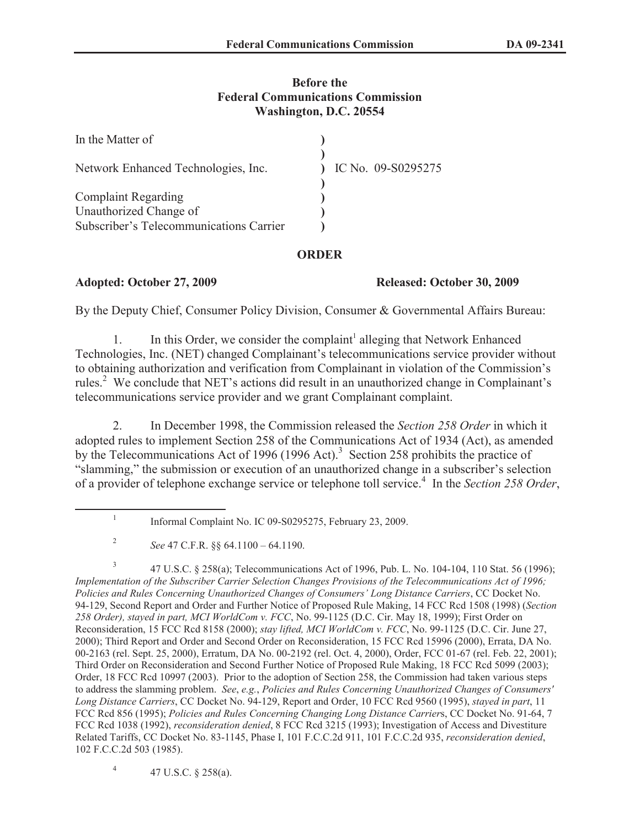### **Before the Federal Communications Commission Washington, D.C. 20554**

| In the Matter of                        |                    |
|-----------------------------------------|--------------------|
| Network Enhanced Technologies, Inc.     | IC No. 09-S0295275 |
| <b>Complaint Regarding</b>              |                    |
| Unauthorized Change of                  |                    |
| Subscriber's Telecommunications Carrier |                    |

## **ORDER**

### **Adopted: October 27, 2009 Released: October 30, 2009**

By the Deputy Chief, Consumer Policy Division, Consumer & Governmental Affairs Bureau:

1. In this Order, we consider the complaint<sup>1</sup> alleging that Network Enhanced Technologies, Inc. (NET) changed Complainant's telecommunications service provider without to obtaining authorization and verification from Complainant in violation of the Commission's rules.<sup>2</sup> We conclude that NET's actions did result in an unauthorized change in Complainant's telecommunications service provider and we grant Complainant complaint.

2. In December 1998, the Commission released the *Section 258 Order* in which it adopted rules to implement Section 258 of the Communications Act of 1934 (Act), as amended by the Telecommunications Act of 1996 (1996 Act).<sup>3</sup> Section 258 prohibits the practice of "slamming," the submission or execution of an unauthorized change in a subscriber's selection of a provider of telephone exchange service or telephone toll service.<sup>4</sup> In the *Section 258 Order*,

4 47 U.S.C. § 258(a).

<sup>1</sup> Informal Complaint No. IC 09-S0295275, February 23, 2009.

<sup>2</sup> *See* 47 C.F.R. §§ 64.1100 – 64.1190.

<sup>3</sup> 47 U.S.C. § 258(a); Telecommunications Act of 1996, Pub. L. No. 104-104, 110 Stat. 56 (1996); *Implementation of the Subscriber Carrier Selection Changes Provisions of the Telecommunications Act of 1996; Policies and Rules Concerning Unauthorized Changes of Consumers' Long Distance Carriers*, CC Docket No. 94-129, Second Report and Order and Further Notice of Proposed Rule Making, 14 FCC Rcd 1508 (1998) (*Section 258 Order), stayed in part, MCI WorldCom v. FCC*, No. 99-1125 (D.C. Cir. May 18, 1999); First Order on Reconsideration, 15 FCC Rcd 8158 (2000); *stay lifted, MCI WorldCom v. FCC*, No. 99-1125 (D.C. Cir. June 27, 2000); Third Report and Order and Second Order on Reconsideration, 15 FCC Rcd 15996 (2000), Errata, DA No. 00-2163 (rel. Sept. 25, 2000), Erratum, DA No. 00-2192 (rel. Oct. 4, 2000), Order, FCC 01-67 (rel. Feb. 22, 2001); Third Order on Reconsideration and Second Further Notice of Proposed Rule Making, 18 FCC Rcd 5099 (2003); Order, 18 FCC Rcd 10997 (2003). Prior to the adoption of Section 258, the Commission had taken various steps to address the slamming problem. *See*, *e.g.*, *Policies and Rules Concerning Unauthorized Changes of Consumers' Long Distance Carriers*, CC Docket No. 94-129, Report and Order, 10 FCC Rcd 9560 (1995), *stayed in part*, 11 FCC Rcd 856 (1995); *Policies and Rules Concerning Changing Long Distance Carrier*s, CC Docket No. 91-64, 7 FCC Rcd 1038 (1992), *reconsideration denied*, 8 FCC Rcd 3215 (1993); Investigation of Access and Divestiture Related Tariffs, CC Docket No. 83-1145, Phase I, 101 F.C.C.2d 911, 101 F.C.C.2d 935, *reconsideration denied*, 102 F.C.C.2d 503 (1985).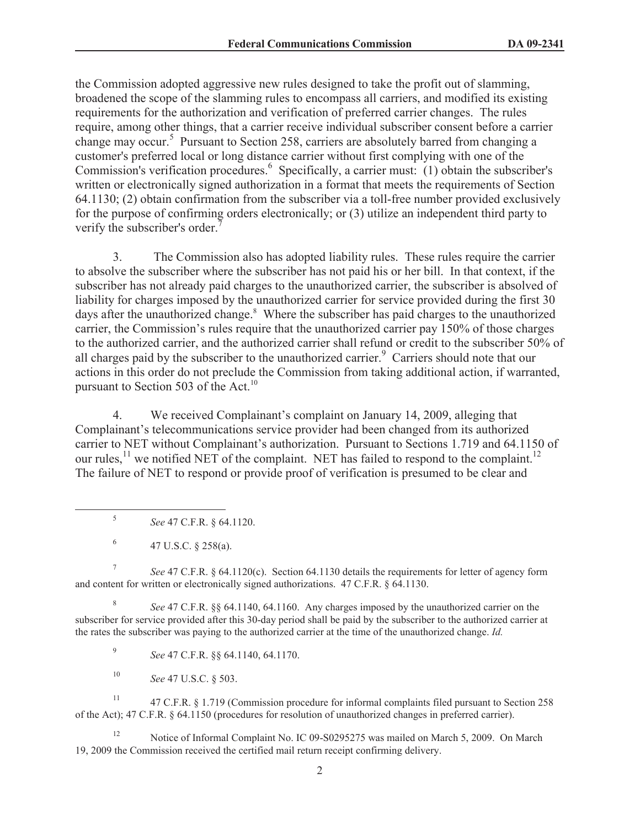the Commission adopted aggressive new rules designed to take the profit out of slamming, broadened the scope of the slamming rules to encompass all carriers, and modified its existing requirements for the authorization and verification of preferred carrier changes. The rules require, among other things, that a carrier receive individual subscriber consent before a carrier change may occur.<sup>5</sup> Pursuant to Section 258, carriers are absolutely barred from changing a customer's preferred local or long distance carrier without first complying with one of the Commission's verification procedures.<sup>6</sup> Specifically, a carrier must: (1) obtain the subscriber's written or electronically signed authorization in a format that meets the requirements of Section 64.1130; (2) obtain confirmation from the subscriber via a toll-free number provided exclusively for the purpose of confirming orders electronically; or (3) utilize an independent third party to verify the subscriber's order.<sup>7</sup>

3. The Commission also has adopted liability rules. These rules require the carrier to absolve the subscriber where the subscriber has not paid his or her bill. In that context, if the subscriber has not already paid charges to the unauthorized carrier, the subscriber is absolved of liability for charges imposed by the unauthorized carrier for service provided during the first 30 days after the unauthorized change.<sup>8</sup> Where the subscriber has paid charges to the unauthorized carrier, the Commission's rules require that the unauthorized carrier pay 150% of those charges to the authorized carrier, and the authorized carrier shall refund or credit to the subscriber 50% of all charges paid by the subscriber to the unauthorized carrier.<sup>9</sup> Carriers should note that our actions in this order do not preclude the Commission from taking additional action, if warranted, pursuant to Section 503 of the Act.<sup>10</sup>

4. We received Complainant's complaint on January 14, 2009, alleging that Complainant's telecommunications service provider had been changed from its authorized carrier to NET without Complainant's authorization. Pursuant to Sections 1.719 and 64.1150 of our rules,<sup>11</sup> we notified NET of the complaint. NET has failed to respond to the complaint.<sup>12</sup> The failure of NET to respond or provide proof of verification is presumed to be clear and

5 *See* 47 C.F.R. § 64.1120.

6 47 U.S.C. § 258(a).

7 *See* 47 C.F.R. § 64.1120(c). Section 64.1130 details the requirements for letter of agency form and content for written or electronically signed authorizations. 47 C.F.R. § 64.1130.

8 *See* 47 C.F.R. §§ 64.1140, 64.1160. Any charges imposed by the unauthorized carrier on the subscriber for service provided after this 30-day period shall be paid by the subscriber to the authorized carrier at the rates the subscriber was paying to the authorized carrier at the time of the unauthorized change. *Id.*

9 *See* 47 C.F.R. §§ 64.1140, 64.1170.

<sup>10</sup> *See* 47 U.S.C. § 503.

<sup>11</sup> 47 C.F.R. § 1.719 (Commission procedure for informal complaints filed pursuant to Section 258 of the Act); 47 C.F.R. § 64.1150 (procedures for resolution of unauthorized changes in preferred carrier).

<sup>12</sup> Notice of Informal Complaint No. IC 09-S0295275 was mailed on March 5, 2009. On March 19, 2009 the Commission received the certified mail return receipt confirming delivery.